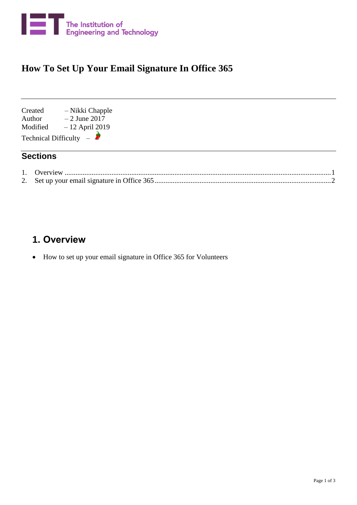

## **How To Set Up Your Email Signature In Office 365**

Created – Nikki Chapple Author  $-2$  June 2017 Modified – 12 April 2019 Technical Difficulty –  $\partial$ 

## **Sections**

## <span id="page-0-0"></span>**1. Overview**

• How to set up your email signature in Office 365 for Volunteers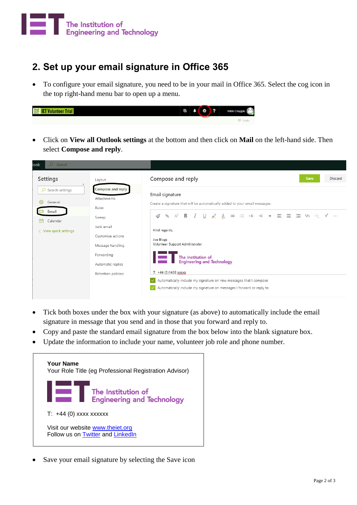

## <span id="page-1-0"></span>**2. Set up your email signature in Office 365**

• To configure your email signature, you need to be in your mail in Office 365. Select the cog icon in the top right-hand menu bar to open up a menu.



• Click on **View all Outlook settings** at the bottom and then click on **Mail** on the left-hand side. Then select **Compose and reply**.

| O Search<br>ook                                                                                     |                                                                                                                                                                    |                                                                                                                                                                                                                                                                                                                                                                                                                                                                                                                                              |
|-----------------------------------------------------------------------------------------------------|--------------------------------------------------------------------------------------------------------------------------------------------------------------------|----------------------------------------------------------------------------------------------------------------------------------------------------------------------------------------------------------------------------------------------------------------------------------------------------------------------------------------------------------------------------------------------------------------------------------------------------------------------------------------------------------------------------------------------|
| Settings                                                                                            | Layout                                                                                                                                                             | Compose and reply<br>Save<br><b>Discard</b>                                                                                                                                                                                                                                                                                                                                                                                                                                                                                                  |
| $\overline{Q}$ Search settings<br>ई०ै<br>General<br>Email<br>画<br>Calendar<br>< View quick settings | Compose and reply<br>Attachments<br>Rules<br>Sweep<br>Junk email<br>Customise actions<br>Message handling<br>Forwarding<br>Automatic replies<br>Retention policies | Email signature<br>Create a signature that will be automatically added to your email messages.<br>A 目 目 任 モ ゕ 亖 亖 亖 ⊘ ⊘<br>$\cup$<br>$\mathcal{L}$<br>$A^{\circ}$<br>$\mathbf{B}$ $I$<br>$\mathrel{\triangleleft}$<br>$x^2$<br>$A_{\rm A}$<br>Kind regards,<br>Joe Blogs<br>Volunteer Support Administrator<br>The Institution of<br><b>Engineering and Technology</b><br>T: $+44(0)1438$ XXXXX<br>Automatically include my signature on new messages that I compose<br>Automatically include my signature on messages I forward or reply to |

- Tick both boxes under the box with your signature (as above) to automatically include the email signature in message that you send and in those that you forward and reply to.
- Copy and paste the standard email signature from the box below into the blank signature box.
- Update the information to include your name, volunteer job role and phone number.



Save your email signature by selecting the Save icon